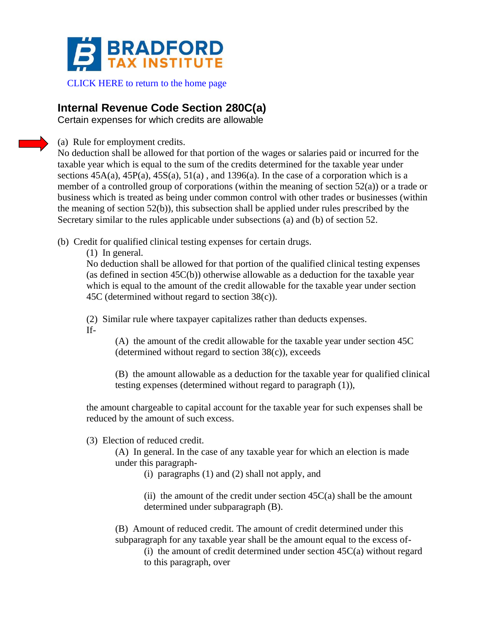

## [CLICK HERE to return to the home page](https://www.bradfordtaxinstitute.com)

## **Internal Revenue Code Section 280C(a)**

Certain expenses for which credits are allowable

(a) Rule for employment credits.

No deduction shall be allowed for that portion of the wages or salaries paid or incurred for the taxable year which is equal to the sum of the credits determined for the taxable year under sections  $45A(a)$ ,  $45P(a)$ ,  $45S(a)$ ,  $51(a)$ , and  $1396(a)$ . In the case of a corporation which is a member of a controlled group of corporations (within the meaning of section 52(a)) or a trade or business which is treated as being under common control with other trades or businesses (within the meaning of section 52(b)), this subsection shall be applied under rules prescribed by the Secretary similar to the rules applicable under subsections (a) and (b) of section 52.

(b) Credit for qualified clinical testing expenses for certain drugs.

(1) In general.

No deduction shall be allowed for that portion of the qualified clinical testing expenses (as defined in section 45C(b)) otherwise allowable as a deduction for the taxable year which is equal to the amount of the credit allowable for the taxable year under section 45C (determined without regard to section 38(c)).

(2) Similar rule where taxpayer capitalizes rather than deducts expenses. If-

> (A) the amount of the credit allowable for the taxable year under section 45C (determined without regard to section  $38(c)$ ), exceeds

(B) the amount allowable as a deduction for the taxable year for qualified clinical testing expenses (determined without regard to paragraph (1)),

the amount chargeable to capital account for the taxable year for such expenses shall be reduced by the amount of such excess.

(3) Election of reduced credit.

(A) In general. In the case of any taxable year for which an election is made under this paragraph-

(i) paragraphs (1) and (2) shall not apply, and

(ii) the amount of the credit under section  $45C(a)$  shall be the amount determined under subparagraph (B).

(B) Amount of reduced credit. The amount of credit determined under this subparagraph for any taxable year shall be the amount equal to the excess of-

(i) the amount of credit determined under section  $45C(a)$  without regard to this paragraph, over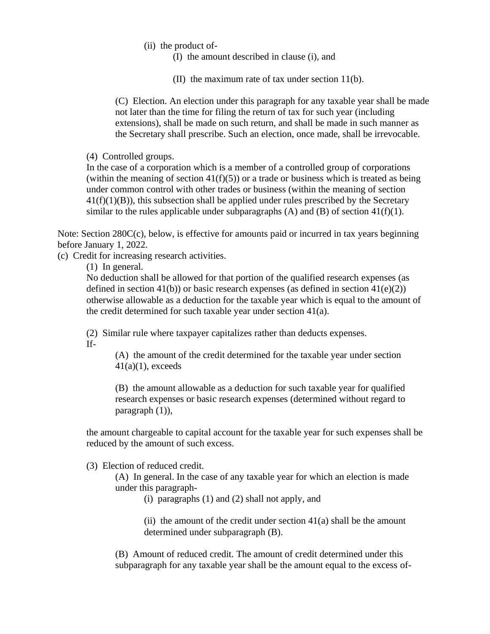- (ii) the product of-
	- (I) the amount described in clause (i), and
	- (II) the maximum rate of tax under section 11(b).

(C) Election. An election under this paragraph for any taxable year shall be made not later than the time for filing the return of tax for such year (including extensions), shall be made on such return, and shall be made in such manner as the Secretary shall prescribe. Such an election, once made, shall be irrevocable.

(4) Controlled groups.

In the case of a corporation which is a member of a controlled group of corporations (within the meaning of section  $41(f)(5)$ ) or a trade or business which is treated as being under common control with other trades or business (within the meaning of section  $41(f)(1)(B)$ , this subsection shall be applied under rules prescribed by the Secretary similar to the rules applicable under subparagraphs  $(A)$  and  $(B)$  of section 41(f)(1).

Note: Section 280C(c), below, is effective for amounts paid or incurred in tax years beginning before January 1, 2022.

(c) Credit for increasing research activities.

(1) In general.

No deduction shall be allowed for that portion of the qualified research expenses (as defined in section 41(b)) or basic research expenses (as defined in section  $41(e)(2)$ ) otherwise allowable as a deduction for the taxable year which is equal to the amount of the credit determined for such taxable year under section 41(a).

(2) Similar rule where taxpayer capitalizes rather than deducts expenses. If-

> (A) the amount of the credit determined for the taxable year under section  $41(a)(1)$ , exceeds

(B) the amount allowable as a deduction for such taxable year for qualified research expenses or basic research expenses (determined without regard to paragraph (1)),

the amount chargeable to capital account for the taxable year for such expenses shall be reduced by the amount of such excess.

(3) Election of reduced credit.

(A) In general. In the case of any taxable year for which an election is made under this paragraph-

(i) paragraphs (1) and (2) shall not apply, and

(ii) the amount of the credit under section  $41(a)$  shall be the amount determined under subparagraph (B).

(B) Amount of reduced credit. The amount of credit determined under this subparagraph for any taxable year shall be the amount equal to the excess of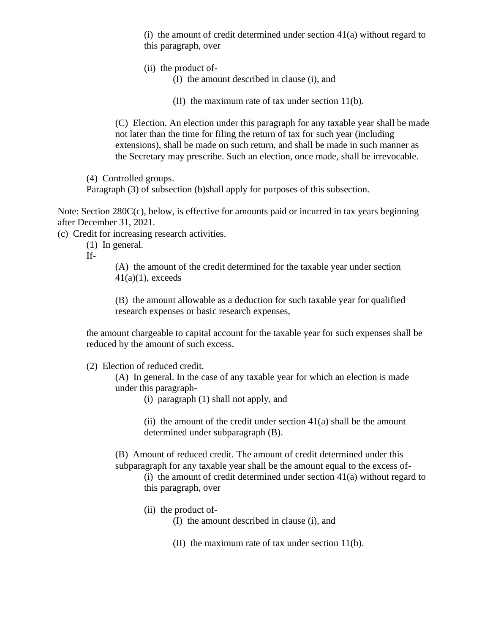(i) the amount of credit determined under section  $41(a)$  without regard to this paragraph, over

- (ii) the product of-
	- (I) the amount described in clause (i), and
	- (II) the maximum rate of tax under section 11(b).

(C) Election. An election under this paragraph for any taxable year shall be made not later than the time for filing the return of tax for such year (including extensions), shall be made on such return, and shall be made in such manner as the Secretary may prescribe. Such an election, once made, shall be irrevocable.

(4) Controlled groups.

Paragraph (3) of subsection (b)shall apply for purposes of this subsection.

Note: Section 280C(c), below, is effective for amounts paid or incurred in tax years beginning after December 31, 2021.

(c) Credit for increasing research activities.

(1) In general.

If-

(A) the amount of the credit determined for the taxable year under section  $41(a)(1)$ , exceeds

(B) the amount allowable as a deduction for such taxable year for qualified research expenses or basic research expenses,

the amount chargeable to capital account for the taxable year for such expenses shall be reduced by the amount of such excess.

(2) Election of reduced credit.

(A) In general. In the case of any taxable year for which an election is made under this paragraph-

(i) paragraph (1) shall not apply, and

(ii) the amount of the credit under section  $41(a)$  shall be the amount determined under subparagraph (B).

(B) Amount of reduced credit. The amount of credit determined under this subparagraph for any taxable year shall be the amount equal to the excess of-

(i) the amount of credit determined under section  $41(a)$  without regard to this paragraph, over

- (ii) the product of-
	- (I) the amount described in clause (i), and
	- (II) the maximum rate of tax under section 11(b).